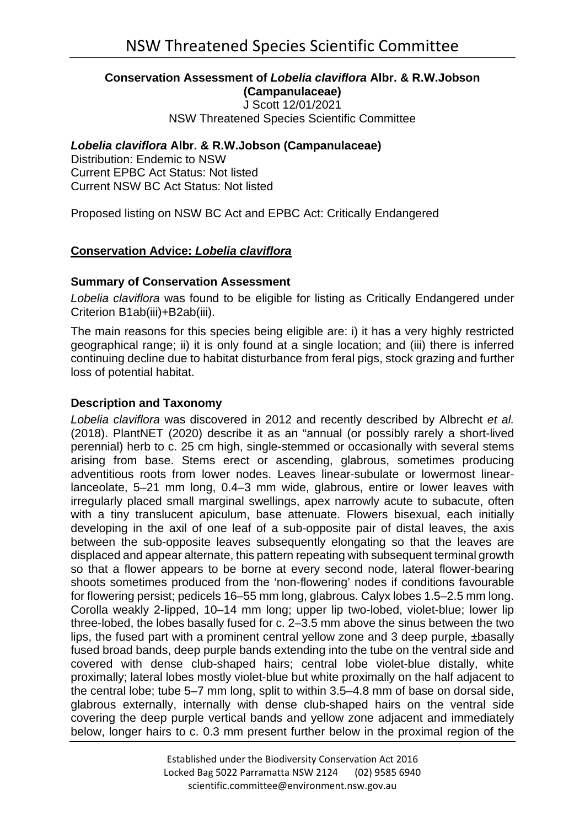#### **Conservation Assessment of** *Lobelia claviflora* **Albr. & R.W.Jobson (Campanulaceae)**

J Scott 12/01/2021 NSW Threatened Species Scientific Committee

# *Lobelia claviflora* **Albr. & R.W.Jobson (Campanulaceae)**

Distribution: Endemic to NSW Current EPBC Act Status: Not listed Current NSW BC Act Status: Not listed

Proposed listing on NSW BC Act and EPBC Act: Critically Endangered

# **Conservation Advice:** *Lobelia claviflora*

## **Summary of Conservation Assessment**

*Lobelia claviflora* was found to be eligible for listing as Critically Endangered under Criterion B1ab(iii)+B2ab(iii).

The main reasons for this species being eligible are: i) it has a very highly restricted geographical range; ii) it is only found at a single location; and (iii) there is inferred continuing decline due to habitat disturbance from feral pigs, stock grazing and further loss of potential habitat.

## **Description and Taxonomy**

*Lobelia claviflora* was discovered in 2012 and recently described by Albrecht *et al.* (2018). PlantNET (2020) describe it as an "annual (or possibly rarely a short-lived perennial) herb to c. 25 cm high, single-stemmed or occasionally with several stems arising from base. Stems erect or ascending, glabrous, sometimes producing adventitious roots from lower nodes. Leaves linear-subulate or lowermost linearlanceolate, 5–21 mm long, 0.4–3 mm wide, glabrous, entire or lower leaves with irregularly placed small marginal swellings, apex narrowly acute to subacute, often with a tiny translucent apiculum, base attenuate. Flowers bisexual, each initially developing in the axil of one leaf of a sub-opposite pair of distal leaves, the axis between the sub-opposite leaves subsequently elongating so that the leaves are displaced and appear alternate, this pattern repeating with subsequent terminal growth so that a flower appears to be borne at every second node, lateral flower-bearing shoots sometimes produced from the 'non-flowering' nodes if conditions favourable for flowering persist; pedicels 16–55 mm long, glabrous. Calyx lobes 1.5–2.5 mm long. Corolla weakly 2-lipped, 10–14 mm long; upper lip two-lobed, violet-blue; lower lip three-lobed, the lobes basally fused for c. 2–3.5 mm above the sinus between the two lips, the fused part with a prominent central yellow zone and 3 deep purple, ±basally fused broad bands, deep purple bands extending into the tube on the ventral side and covered with dense club-shaped hairs; central lobe violet-blue distally, white proximally; lateral lobes mostly violet-blue but white proximally on the half adjacent to the central lobe; tube 5–7 mm long, split to within 3.5–4.8 mm of base on dorsal side, glabrous externally, internally with dense club-shaped hairs on the ventral side covering the deep purple vertical bands and yellow zone adjacent and immediately below, longer hairs to c. 0.3 mm present further below in the proximal region of the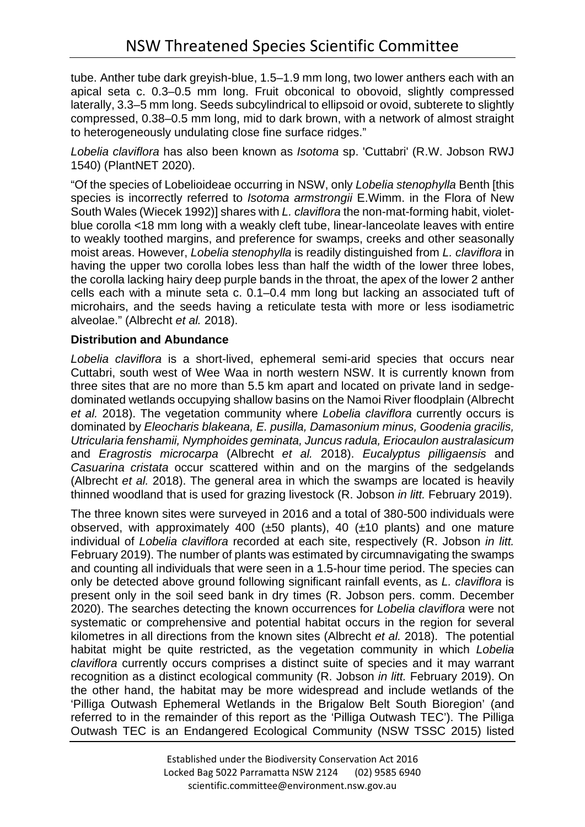tube. Anther tube dark greyish-blue, 1.5–1.9 mm long, two lower anthers each with an apical seta c. 0.3–0.5 mm long. Fruit obconical to obovoid, slightly compressed laterally, 3.3–5 mm long. Seeds subcylindrical to ellipsoid or ovoid, subterete to slightly compressed, 0.38–0.5 mm long, mid to dark brown, with a network of almost straight to heterogeneously undulating close fine surface ridges."

*Lobelia claviflora* has also been known as *Isotoma* sp. 'Cuttabri' (R.W. Jobson RWJ 1540) (PlantNET 2020).

"Of the species of Lobelioideae occurring in NSW, only *Lobelia stenophylla* Benth [this species is incorrectly referred to *Isotoma armstrongii* E.Wimm. in the Flora of New South Wales (Wiecek 1992)] shares with *L. claviflora* the non-mat-forming habit, violetblue corolla <18 mm long with a weakly cleft tube, linear-lanceolate leaves with entire to weakly toothed margins, and preference for swamps, creeks and other seasonally moist areas. However, *Lobelia stenophylla* is readily distinguished from *L. claviflora* in having the upper two corolla lobes less than half the width of the lower three lobes, the corolla lacking hairy deep purple bands in the throat, the apex of the lower 2 anther cells each with a minute seta c. 0.1–0.4 mm long but lacking an associated tuft of microhairs, and the seeds having a reticulate testa with more or less isodiametric alveolae." (Albrecht *et al.* 2018).

# **Distribution and Abundance**

*Lobelia claviflora* is a short-lived, ephemeral semi-arid species that occurs near Cuttabri, south west of Wee Waa in north western NSW. It is currently known from three sites that are no more than 5.5 km apart and located on private land in sedgedominated wetlands occupying shallow basins on the Namoi River floodplain (Albrecht *et al.* 2018). The vegetation community where *Lobelia claviflora* currently occurs is dominated by *Eleocharis blakeana, E. pusilla, Damasonium minus, Goodenia gracilis, Utricularia fenshamii, Nymphoides geminata, Juncus radula, Eriocaulon australasicum*  and *Eragrostis microcarpa* (Albrecht *et al.* 2018). *Eucalyptus pilligaensis* and *Casuarina cristata* occur scattered within and on the margins of the sedgelands (Albrecht *et al.* 2018). The general area in which the swamps are located is heavily thinned woodland that is used for grazing livestock (R. Jobson *in litt.* February 2019).

The three known sites were surveyed in 2016 and a total of 380-500 individuals were observed, with approximately 400 (±50 plants), 40 (±10 plants) and one mature individual of *Lobelia claviflora* recorded at each site, respectively (R. Jobson *in litt.*  February 2019). The number of plants was estimated by circumnavigating the swamps and counting all individuals that were seen in a 1.5-hour time period. The species can only be detected above ground following significant rainfall events, as *L. claviflora* is present only in the soil seed bank in dry times (R. Jobson pers. comm. December 2020). The searches detecting the known occurrences for *Lobelia claviflora* were not systematic or comprehensive and potential habitat occurs in the region for several kilometres in all directions from the known sites (Albrecht *et al.* 2018). The potential habitat might be quite restricted, as the vegetation community in which *Lobelia claviflora* currently occurs comprises a distinct suite of species and it may warrant recognition as a distinct ecological community (R. Jobson *in litt.* February 2019). On the other hand, the habitat may be more widespread and include wetlands of the 'Pilliga Outwash Ephemeral Wetlands in the Brigalow Belt South Bioregion' (and referred to in the remainder of this report as the 'Pilliga Outwash TEC'). The Pilliga Outwash TEC is an Endangered Ecological Community (NSW TSSC 2015) listed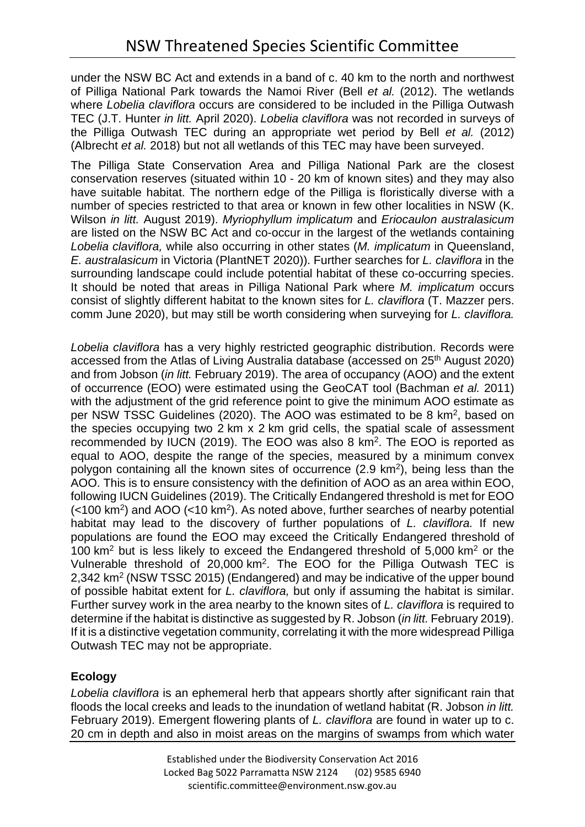under the NSW BC Act and extends in a band of c. 40 km to the north and northwest of Pilliga National Park towards the Namoi River (Bell *et al.* (2012). The wetlands where *Lobelia claviflora* occurs are considered to be included in the Pilliga Outwash TEC (J.T. Hunter *in litt.* April 2020). *Lobelia claviflora* was not recorded in surveys of the Pilliga Outwash TEC during an appropriate wet period by Bell *et al.* (2012) (Albrecht *et al.* 2018) but not all wetlands of this TEC may have been surveyed.

The Pilliga State Conservation Area and Pilliga National Park are the closest conservation reserves (situated within 10 - 20 km of known sites) and they may also have suitable habitat. The northern edge of the Pilliga is floristically diverse with a number of species restricted to that area or known in few other localities in NSW (K. Wilson *in litt.* August 2019). *Myriophyllum implicatum* and *Eriocaulon australasicum* are listed on the NSW BC Act and co-occur in the largest of the wetlands containing *Lobelia claviflora,* while also occurring in other states (*M. implicatum* in Queensland, *E. australasicum* in Victoria (PlantNET 2020)). Further searches for *L. claviflora* in the surrounding landscape could include potential habitat of these co-occurring species. It should be noted that areas in Pilliga National Park where *M. implicatum* occurs consist of slightly different habitat to the known sites for *L. claviflora* (T. Mazzer pers. comm June 2020), but may still be worth considering when surveying for *L. claviflora.* 

*Lobelia claviflora* has a very highly restricted geographic distribution. Records were accessed from the Atlas of Living Australia database (accessed on 25th August 2020) and from Jobson (*in litt.* February 2019). The area of occupancy (AOO) and the extent of occurrence (EOO) were estimated using the GeoCAT tool (Bachman *et al.* 2011) with the adjustment of the grid reference point to give the minimum AOO estimate as per NSW TSSC Guidelines (2020). The AOO was estimated to be 8 km2, based on the species occupying two 2 km x 2 km grid cells, the spatial scale of assessment recommended by IUCN (2019). The EOO was also 8 km2. The EOO is reported as equal to AOO, despite the range of the species, measured by a minimum convex polygon containing all the known sites of occurrence  $(2.9 \text{ km}^2)$ , being less than the AOO. This is to ensure consistency with the definition of AOO as an area within EOO, following IUCN Guidelines (2019). The Critically Endangered threshold is met for EOO  $\left($  <100 km<sup>2</sup>) and AOO (<10 km<sup>2</sup>). As noted above, further searches of nearby potential habitat may lead to the discovery of further populations of *L. claviflora.* If new populations are found the EOO may exceed the Critically Endangered threshold of 100  $km^2$  but is less likely to exceed the Endangered threshold of 5,000  $km^2$  or the Vulnerable threshold of 20,000 km2. The EOO for the Pilliga Outwash TEC is 2,342 km2 (NSW TSSC 2015) (Endangered) and may be indicative of the upper bound of possible habitat extent for *L. claviflora,* but only if assuming the habitat is similar. Further survey work in the area nearby to the known sites of *L. claviflora* is required to determine if the habitat is distinctive as suggested by R. Jobson (*in litt.* February 2019). If it is a distinctive vegetation community, correlating it with the more widespread Pilliga Outwash TEC may not be appropriate.

# **Ecology**

*Lobelia claviflora* is an ephemeral herb that appears shortly after significant rain that floods the local creeks and leads to the inundation of wetland habitat (R. Jobson *in litt.* February 2019). Emergent flowering plants of *L. claviflora* are found in water up to c. 20 cm in depth and also in moist areas on the margins of swamps from which water

> Established under the Biodiversity Conservation Act 2016 Locked Bag 5022 Parramatta NSW 2124 (02) 9585 6940 scientific.committee@environment.nsw.gov.au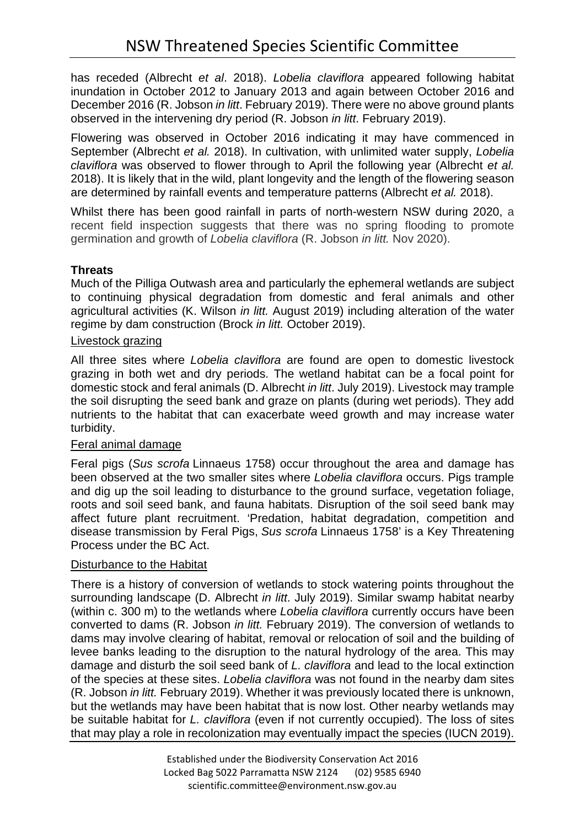has receded (Albrecht *et al*. 2018). *Lobelia claviflora* appeared following habitat inundation in October 2012 to January 2013 and again between October 2016 and December 2016 (R. Jobson *in litt*. February 2019). There were no above ground plants observed in the intervening dry period (R. Jobson *in litt*. February 2019).

Flowering was observed in October 2016 indicating it may have commenced in September (Albrecht *et al.* 2018). In cultivation, with unlimited water supply, *Lobelia claviflora* was observed to flower through to April the following year (Albrecht *et al.*  2018). It is likely that in the wild, plant longevity and the length of the flowering season are determined by rainfall events and temperature patterns (Albrecht *et al.* 2018).

Whilst there has been good rainfall in parts of north-western NSW during 2020, a recent field inspection suggests that there was no spring flooding to promote germination and growth of *Lobelia claviflora* (R. Jobson *in litt.* Nov 2020).

# **Threats**

Much of the Pilliga Outwash area and particularly the ephemeral wetlands are subject to continuing physical degradation from domestic and feral animals and other agricultural activities (K. Wilson *in litt.* August 2019) including alteration of the water regime by dam construction (Brock *in litt.* October 2019).

# Livestock grazing

All three sites where *Lobelia claviflora* are found are open to domestic livestock grazing in both wet and dry periods. The wetland habitat can be a focal point for domestic stock and feral animals (D. Albrecht *in litt*. July 2019). Livestock may trample the soil disrupting the seed bank and graze on plants (during wet periods). They add nutrients to the habitat that can exacerbate weed growth and may increase water turbidity.

## Feral animal damage

Feral pigs (*Sus scrofa* Linnaeus 1758) occur throughout the area and damage has been observed at the two smaller sites where *Lobelia claviflora* occurs. Pigs trample and dig up the soil leading to disturbance to the ground surface, vegetation foliage, roots and soil seed bank, and fauna habitats. Disruption of the soil seed bank may affect future plant recruitment. 'Predation, habitat degradation, competition and disease transmission by Feral Pigs, *Sus scrofa* Linnaeus 1758' is a Key Threatening Process under the BC Act.

# Disturbance to the Habitat

There is a history of conversion of wetlands to stock watering points throughout the surrounding landscape (D. Albrecht *in litt*. July 2019). Similar swamp habitat nearby (within c. 300 m) to the wetlands where *Lobelia claviflora* currently occurs have been converted to dams (R. Jobson *in litt.* February 2019). The conversion of wetlands to dams may involve clearing of habitat, removal or relocation of soil and the building of levee banks leading to the disruption to the natural hydrology of the area. This may damage and disturb the soil seed bank of *L. claviflora* and lead to the local extinction of the species at these sites. *Lobelia claviflora* was not found in the nearby dam sites (R. Jobson *in litt.* February 2019). Whether it was previously located there is unknown, but the wetlands may have been habitat that is now lost. Other nearby wetlands may be suitable habitat for *L. claviflora* (even if not currently occupied). The loss of sites that may play a role in recolonization may eventually impact the species (IUCN 2019).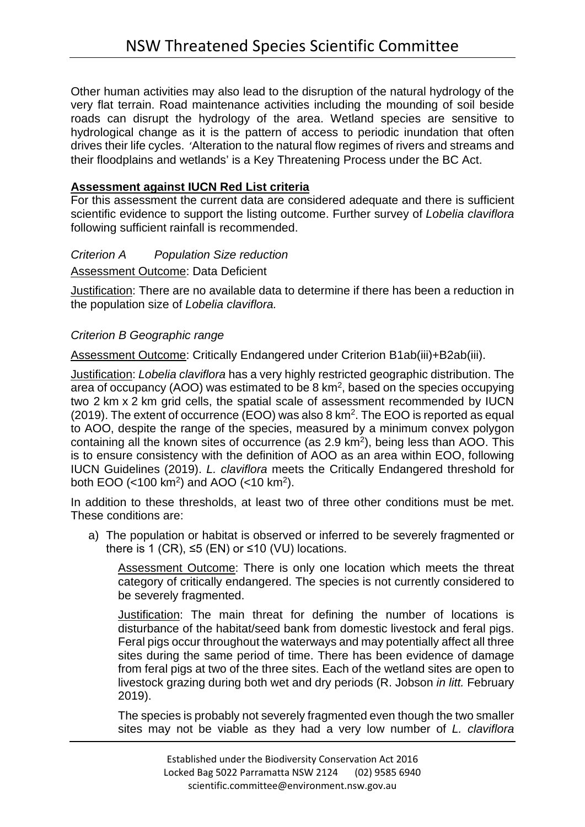Other human activities may also lead to the disruption of the natural hydrology of the very flat terrain. Road maintenance activities including the mounding of soil beside roads can disrupt the hydrology of the area. Wetland species are sensitive to hydrological change as it is the pattern of access to periodic inundation that often drives their life cycles. 'Alteration to the natural flow regimes of rivers and streams and their floodplains and wetlands' is a Key Threatening Process under the BC Act.

# **Assessment against IUCN Red List criteria**

For this assessment the current data are considered adequate and there is sufficient scientific evidence to support the listing outcome. Further survey of *Lobelia claviflora* following sufficient rainfall is recommended.

## *Criterion A Population Size reduction*

Assessment Outcome: Data Deficient

Justification: There are no available data to determine if there has been a reduction in the population size of *Lobelia claviflora.* 

# *Criterion B Geographic range*

Assessment Outcome: Critically Endangered under Criterion B1ab(iii)+B2ab(iii).

Justification: *Lobelia claviflora* has a very highly restricted geographic distribution. The area of occupancy (AOO) was estimated to be 8 km2, based on the species occupying two 2 km x 2 km grid cells, the spatial scale of assessment recommended by IUCN (2019). The extent of occurrence (EOO) was also 8 km2. The EOO is reported as equal to AOO, despite the range of the species, measured by a minimum convex polygon containing all the known sites of occurrence (as 2.9 km<sup>2</sup>), being less than AOO. This is to ensure consistency with the definition of AOO as an area within EOO, following IUCN Guidelines (2019). *L. claviflora* meets the Critically Endangered threshold for both EOO (<100 km2) and AOO (<10 km2).

In addition to these thresholds, at least two of three other conditions must be met. These conditions are:

a) The population or habitat is observed or inferred to be severely fragmented or there is 1 (CR),  $\leq 5$  (EN) or  $\leq 10$  (VU) locations.

Assessment Outcome: There is only one location which meets the threat category of critically endangered. The species is not currently considered to be severely fragmented.

Justification: The main threat for defining the number of locations is disturbance of the habitat/seed bank from domestic livestock and feral pigs. Feral pigs occur throughout the waterways and may potentially affect all three sites during the same period of time. There has been evidence of damage from feral pigs at two of the three sites. Each of the wetland sites are open to livestock grazing during both wet and dry periods (R. Jobson *in litt.* February 2019).

The species is probably not severely fragmented even though the two smaller sites may not be viable as they had a very low number of *L. claviflora*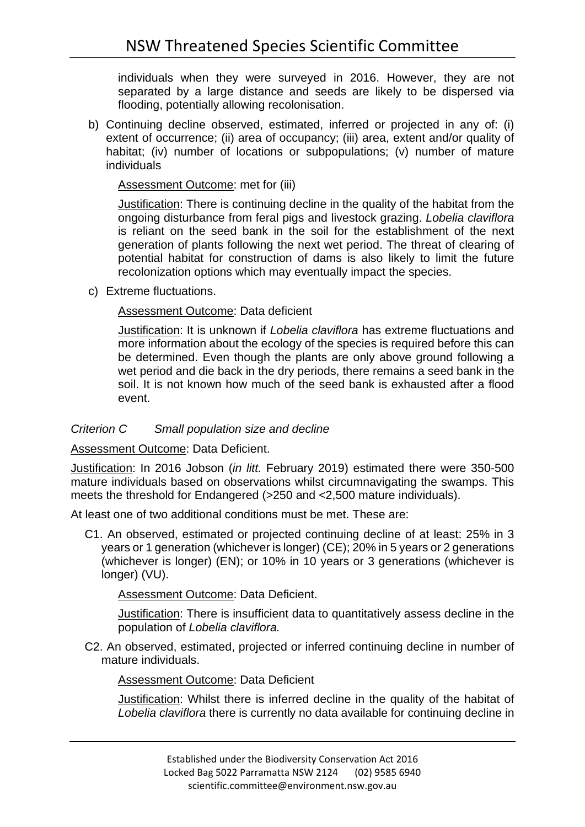individuals when they were surveyed in 2016. However, they are not separated by a large distance and seeds are likely to be dispersed via flooding, potentially allowing recolonisation.

b) Continuing decline observed, estimated, inferred or projected in any of: (i) extent of occurrence; (ii) area of occupancy; (iii) area, extent and/or quality of habitat; (iv) number of locations or subpopulations; (v) number of mature individuals

Assessment Outcome: met for (iii)

Justification: There is continuing decline in the quality of the habitat from the ongoing disturbance from feral pigs and livestock grazing. *Lobelia claviflora*  is reliant on the seed bank in the soil for the establishment of the next generation of plants following the next wet period. The threat of clearing of potential habitat for construction of dams is also likely to limit the future recolonization options which may eventually impact the species.

c) Extreme fluctuations.

# Assessment Outcome: Data deficient

Justification: It is unknown if *Lobelia claviflora* has extreme fluctuations and more information about the ecology of the species is required before this can be determined. Even though the plants are only above ground following a wet period and die back in the dry periods, there remains a seed bank in the soil. It is not known how much of the seed bank is exhausted after a flood event.

# *Criterion C Small population size and decline*

Assessment Outcome: Data Deficient.

Justification: In 2016 Jobson (*in litt.* February 2019) estimated there were 350-500 mature individuals based on observations whilst circumnavigating the swamps. This meets the threshold for Endangered (>250 and <2,500 mature individuals).

At least one of two additional conditions must be met. These are:

C1. An observed, estimated or projected continuing decline of at least: 25% in 3 years or 1 generation (whichever is longer) (CE); 20% in 5 years or 2 generations (whichever is longer) (EN); or 10% in 10 years or 3 generations (whichever is longer) (VU).

Assessment Outcome: Data Deficient.

Justification: There is insufficient data to quantitatively assess decline in the population of *Lobelia claviflora.*

C2. An observed, estimated, projected or inferred continuing decline in number of mature individuals.

Assessment Outcome: Data Deficient

Justification: Whilst there is inferred decline in the quality of the habitat of *Lobelia claviflora* there is currently no data available for continuing decline in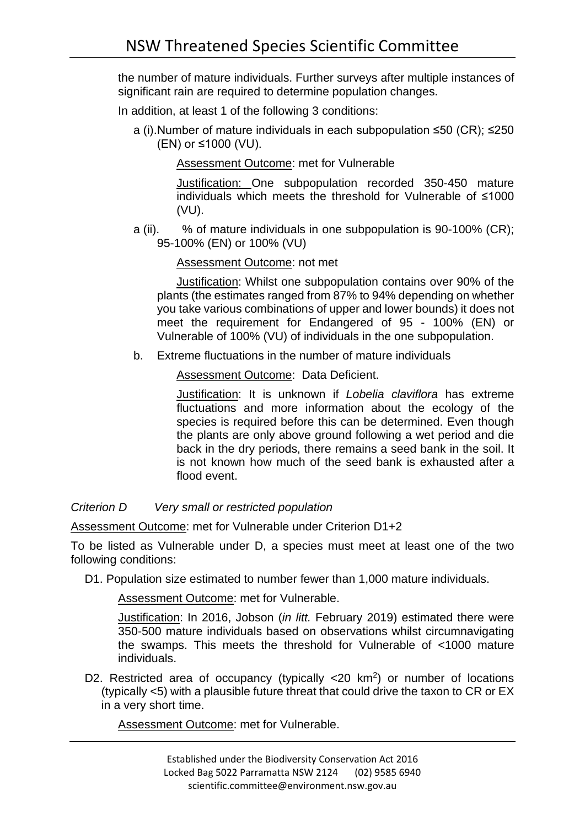the number of mature individuals. Further surveys after multiple instances of significant rain are required to determine population changes.

In addition, at least 1 of the following 3 conditions:

a (i).Number of mature individuals in each subpopulation ≤50 (CR); ≤250 (EN) or ≤1000 (VU).

Assessment Outcome: met for Vulnerable

Justification: One subpopulation recorded 350-450 mature individuals which meets the threshold for Vulnerable of ≤1000 (VU).

a (ii). % of mature individuals in one subpopulation is 90-100% (CR); 95-100% (EN) or 100% (VU)

### Assessment Outcome: not met

Justification: Whilst one subpopulation contains over 90% of the plants (the estimates ranged from 87% to 94% depending on whether you take various combinations of upper and lower bounds) it does not meet the requirement for Endangered of 95 - 100% (EN) or Vulnerable of 100% (VU) of individuals in the one subpopulation.

b. Extreme fluctuations in the number of mature individuals

Assessment Outcome: Data Deficient.

Justification: It is unknown if *Lobelia claviflora* has extreme fluctuations and more information about the ecology of the species is required before this can be determined. Even though the plants are only above ground following a wet period and die back in the dry periods, there remains a seed bank in the soil. It is not known how much of the seed bank is exhausted after a flood event.

*Criterion D Very small or restricted population*

Assessment Outcome: met for Vulnerable under Criterion D1+2

To be listed as Vulnerable under D, a species must meet at least one of the two following conditions:

D1. Population size estimated to number fewer than 1,000 mature individuals.

Assessment Outcome: met for Vulnerable.

Justification: In 2016, Jobson (*in litt.* February 2019) estimated there were 350-500 mature individuals based on observations whilst circumnavigating the swamps. This meets the threshold for Vulnerable of <1000 mature individuals.

D2. Restricted area of occupancy (typically <20 km<sup>2</sup>) or number of locations (typically <5) with a plausible future threat that could drive the taxon to CR or EX in a very short time.

Assessment Outcome: met for Vulnerable.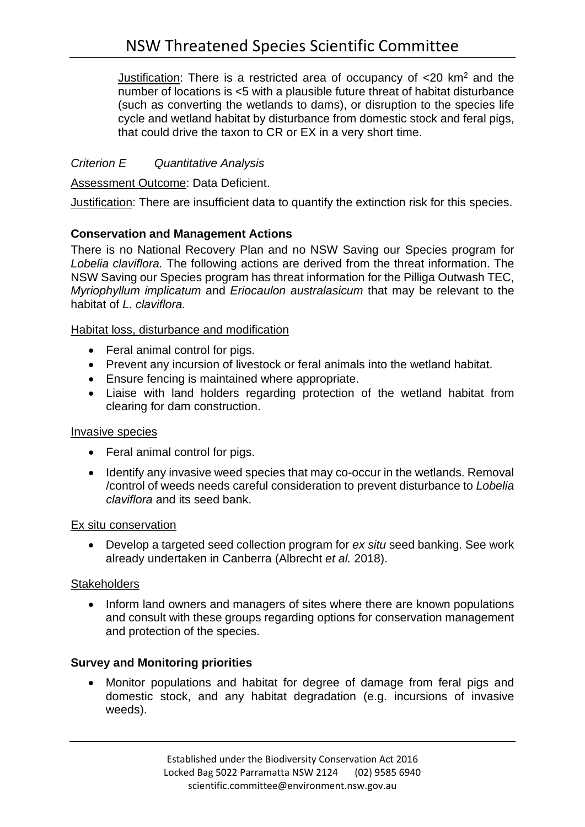Justification: There is a restricted area of occupancy of  $\langle 20 \text{ km}^2 \rangle$  and the number of locations is <5 with a plausible future threat of habitat disturbance (such as converting the wetlands to dams), or disruption to the species life cycle and wetland habitat by disturbance from domestic stock and feral pigs, that could drive the taxon to CR or EX in a very short time.

## *Criterion E Quantitative Analysis*

Assessment Outcome: Data Deficient.

Justification: There are insufficient data to quantify the extinction risk for this species.

## **Conservation and Management Actions**

There is no National Recovery Plan and no NSW Saving our Species program for *Lobelia claviflora.* The following actions are derived from the threat information. The NSW Saving our Species program has threat information for the Pilliga Outwash TEC, *Myriophyllum implicatum* and *Eriocaulon australasicum* that may be relevant to the habitat of *L. claviflora.*

### Habitat loss, disturbance and modification

- Feral animal control for pigs.
- Prevent any incursion of livestock or feral animals into the wetland habitat.
- Ensure fencing is maintained where appropriate.
- Liaise with land holders regarding protection of the wetland habitat from clearing for dam construction.

#### Invasive species

- Feral animal control for pigs.
- Identify any invasive weed species that may co-occur in the wetlands. Removal /control of weeds needs careful consideration to prevent disturbance to *Lobelia claviflora* and its seed bank.

#### Ex situ conservation

• Develop a targeted seed collection program for *ex situ* seed banking. See work already undertaken in Canberra (Albrecht *et al.* 2018).

#### **Stakeholders**

• Inform land owners and managers of sites where there are known populations and consult with these groups regarding options for conservation management and protection of the species.

## **Survey and Monitoring priorities**

• Monitor populations and habitat for degree of damage from feral pigs and domestic stock, and any habitat degradation (e.g. incursions of invasive weeds).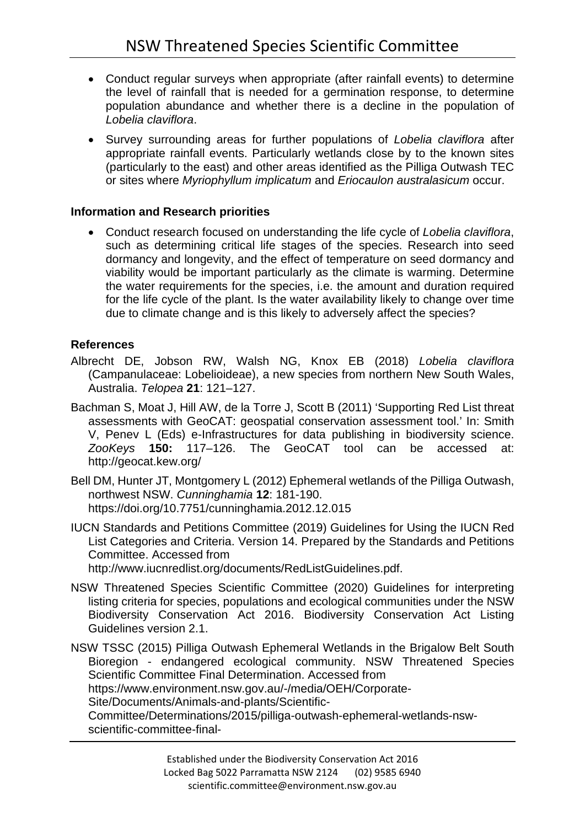- Conduct regular surveys when appropriate (after rainfall events) to determine the level of rainfall that is needed for a germination response, to determine population abundance and whether there is a decline in the population of *Lobelia claviflora*.
- Survey surrounding areas for further populations of *Lobelia claviflora* after appropriate rainfall events. Particularly wetlands close by to the known sites (particularly to the east) and other areas identified as the Pilliga Outwash TEC or sites where *Myriophyllum implicatum* and *Eriocaulon australasicum* occur.

## **Information and Research priorities**

• Conduct research focused on understanding the life cycle of *Lobelia claviflora*, such as determining critical life stages of the species. Research into seed dormancy and longevity, and the effect of temperature on seed dormancy and viability would be important particularly as the climate is warming. Determine the water requirements for the species, i.e. the amount and duration required for the life cycle of the plant. Is the water availability likely to change over time due to climate change and is this likely to adversely affect the species?

### **References**

- Albrecht DE, Jobson RW, Walsh NG, Knox EB (2018) *Lobelia claviflora* (Campanulaceae: Lobelioideae), a new species from northern New South Wales, Australia. *Telopea* **21**: 121–127.
- Bachman S, Moat J, Hill AW, de la Torre J, Scott B (2011) 'Supporting Red List threat assessments with GeoCAT: geospatial conservation assessment tool.' In: Smith V, Penev L (Eds) e-Infrastructures for data publishing in biodiversity science. *ZooKeys* **150:** 117–126. The GeoCAT tool can be accessed at: <http://geocat.kew.org/>
- Bell DM, Hunter JT, Montgomery L (2012) Ephemeral wetlands of the Pilliga Outwash, northwest NSW. *Cunninghamia* **12**: 181-190. <https://doi.org/10.7751/cunninghamia.2012.12.015>
- IUCN Standards and Petitions Committee (2019) Guidelines for Using the IUCN Red List Categories and Criteria. Version 14. Prepared by the Standards and Petitions Committee. Accessed from http://www.iucnredlist.org/documents/RedListGuidelines.pdf.
- NSW Threatened Species Scientific Committee (2020) Guidelines for interpreting listing criteria for species, populations and ecological communities under the NSW Biodiversity Conservation Act 2016. Biodiversity Conservation Act Listing Guidelines version 2.1.

NSW TSSC (2015) Pilliga Outwash Ephemeral Wetlands in the Brigalow Belt South Bioregion - endangered ecological community. NSW Threatened Species Scientific Committee Final Determination. Accessed from [https://www.environment.nsw.gov.au/-/media/OEH/Corporate-](https://www.environment.nsw.gov.au/-/media/OEH/Corporate-Site/Documents/Animals-and-plants/Scientific-Committee/Determinations/2015/pilliga-outwash-ephemeral-wetlands-nsw-scientific-committee-final-determination.pdf?la=en&hash=129620AFB4E9A4271583361E44F9FECB2B88103D)[Site/Documents/Animals-and-plants/Scientific-](https://www.environment.nsw.gov.au/-/media/OEH/Corporate-Site/Documents/Animals-and-plants/Scientific-Committee/Determinations/2015/pilliga-outwash-ephemeral-wetlands-nsw-scientific-committee-final-determination.pdf?la=en&hash=129620AFB4E9A4271583361E44F9FECB2B88103D)[Committee/Determinations/2015/pilliga-outwash-ephemeral-wetlands-nsw](https://www.environment.nsw.gov.au/-/media/OEH/Corporate-Site/Documents/Animals-and-plants/Scientific-Committee/Determinations/2015/pilliga-outwash-ephemeral-wetlands-nsw-scientific-committee-final-determination.pdf?la=en&hash=129620AFB4E9A4271583361E44F9FECB2B88103D)[scientific-committee-final-](https://www.environment.nsw.gov.au/-/media/OEH/Corporate-Site/Documents/Animals-and-plants/Scientific-Committee/Determinations/2015/pilliga-outwash-ephemeral-wetlands-nsw-scientific-committee-final-determination.pdf?la=en&hash=129620AFB4E9A4271583361E44F9FECB2B88103D)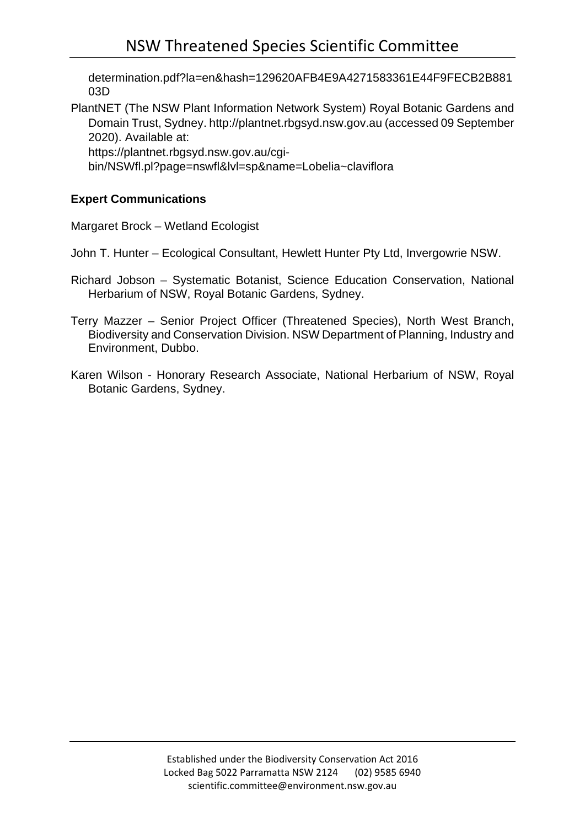[determination.pdf?la=en&hash=129620AFB4E9A4271583361E44F9FECB2B881](https://www.environment.nsw.gov.au/-/media/OEH/Corporate-Site/Documents/Animals-and-plants/Scientific-Committee/Determinations/2015/pilliga-outwash-ephemeral-wetlands-nsw-scientific-committee-final-determination.pdf?la=en&hash=129620AFB4E9A4271583361E44F9FECB2B88103D) [03D](https://www.environment.nsw.gov.au/-/media/OEH/Corporate-Site/Documents/Animals-and-plants/Scientific-Committee/Determinations/2015/pilliga-outwash-ephemeral-wetlands-nsw-scientific-committee-final-determination.pdf?la=en&hash=129620AFB4E9A4271583361E44F9FECB2B88103D)

PlantNET (The NSW Plant Information Network System) Royal Botanic Gardens and Domain Trust, Sydney. [http://plantnet.rbgsyd.nsw.gov.au](http://plantnet.rbgsyd.nsw.gov.au/) (accessed 09 September 2020). Available at: https://plantnet.rbgsyd.nsw.gov.au/cgi-

bin/NSWfl.pl?page=nswfl&lvl=sp&name=Lobelia~claviflora

# **Expert Communications**

Margaret Brock – Wetland Ecologist

John T. Hunter – Ecological Consultant, Hewlett Hunter Pty Ltd, Invergowrie NSW.

- Richard Jobson Systematic Botanist, Science Education Conservation, National Herbarium of NSW, Royal Botanic Gardens, Sydney.
- Terry Mazzer Senior Project Officer (Threatened Species), North West Branch, Biodiversity and Conservation Division. NSW Department of Planning, Industry and Environment, Dubbo.
- Karen Wilson Honorary Research Associate, National Herbarium of NSW, Royal Botanic Gardens, Sydney.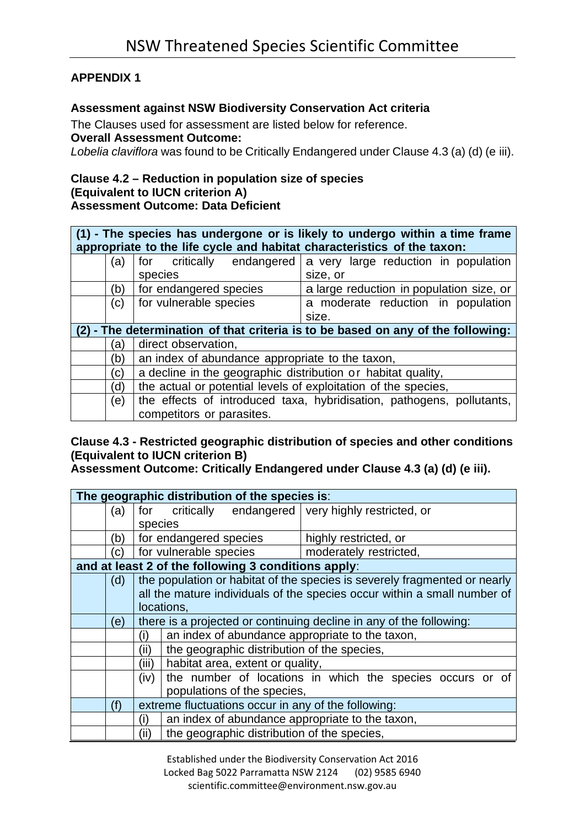# **APPENDIX 1**

# **Assessment against NSW Biodiversity Conservation Act criteria**

The Clauses used for assessment are listed below for reference.

#### **Overall Assessment Outcome:**

*Lobelia claviflora* was found to be Critically Endangered under Clause 4.3 (a) (d) (e iii).

#### **Clause 4.2 – Reduction in population size of species (Equivalent to IUCN criterion A) Assessment Outcome: Data Deficient**

| (1) - The species has undergone or is likely to undergo within a time frame |
|-----------------------------------------------------------------------------|
| appropriate to the life cycle and habitat characteristics of the taxon:     |

| a)  | endangered<br>for critically                                          | a very large reduction in population                                             |  |  |  |  |  |
|-----|-----------------------------------------------------------------------|----------------------------------------------------------------------------------|--|--|--|--|--|
|     | species                                                               | size, or                                                                         |  |  |  |  |  |
| (b) | for endangered species                                                | a large reduction in population size, or                                         |  |  |  |  |  |
| (c) | for vulnerable species                                                | a moderate reduction in population                                               |  |  |  |  |  |
|     |                                                                       | size.                                                                            |  |  |  |  |  |
|     |                                                                       | (2) - The determination of that criteria is to be based on any of the following: |  |  |  |  |  |
| a)  | direct observation,                                                   |                                                                                  |  |  |  |  |  |
| (b) | an index of abundance appropriate to the taxon,                       |                                                                                  |  |  |  |  |  |
| (C) | a decline in the geographic distribution or habitat quality,          |                                                                                  |  |  |  |  |  |
| (d  | the actual or potential levels of exploitation of the species,        |                                                                                  |  |  |  |  |  |
| (e) | the effects of introduced taxa, hybridisation, pathogens, pollutants, |                                                                                  |  |  |  |  |  |
|     | competitors or parasites.                                             |                                                                                  |  |  |  |  |  |

# **Clause 4.3 - Restricted geographic distribution of species and other conditions (Equivalent to IUCN criterion B)**

**Assessment Outcome: Critically Endangered under Clause 4.3 (a) (d) (e iii).**

|     |         |                                                                     | The geographic distribution of the species is:      |                                                                           |  |  |  |  |  |  |
|-----|---------|---------------------------------------------------------------------|-----------------------------------------------------|---------------------------------------------------------------------------|--|--|--|--|--|--|
| (a) | for     |                                                                     |                                                     | critically endangered very highly restricted, or                          |  |  |  |  |  |  |
|     | species |                                                                     |                                                     |                                                                           |  |  |  |  |  |  |
| (b) |         | for endangered species<br>highly restricted, or                     |                                                     |                                                                           |  |  |  |  |  |  |
| (c) |         | for vulnerable species<br>moderately restricted,                    |                                                     |                                                                           |  |  |  |  |  |  |
|     |         |                                                                     | and at least 2 of the following 3 conditions apply: |                                                                           |  |  |  |  |  |  |
| (d) |         |                                                                     |                                                     | the population or habitat of the species is severely fragmented or nearly |  |  |  |  |  |  |
|     |         |                                                                     |                                                     | all the mature individuals of the species occur within a small number of  |  |  |  |  |  |  |
|     |         | locations,                                                          |                                                     |                                                                           |  |  |  |  |  |  |
| (e) |         | there is a projected or continuing decline in any of the following: |                                                     |                                                                           |  |  |  |  |  |  |
|     | (i)     | an index of abundance appropriate to the taxon,                     |                                                     |                                                                           |  |  |  |  |  |  |
|     | (ii)    | the geographic distribution of the species,                         |                                                     |                                                                           |  |  |  |  |  |  |
|     | (iii)   |                                                                     | habitat area, extent or quality,                    |                                                                           |  |  |  |  |  |  |
|     | (iv)    | the number of locations in which the species occurs or of           |                                                     |                                                                           |  |  |  |  |  |  |
|     |         | populations of the species,                                         |                                                     |                                                                           |  |  |  |  |  |  |
| (f) |         | extreme fluctuations occur in any of the following:                 |                                                     |                                                                           |  |  |  |  |  |  |
|     | (i)     |                                                                     |                                                     | an index of abundance appropriate to the taxon,                           |  |  |  |  |  |  |
|     | (ii)    |                                                                     |                                                     | the geographic distribution of the species,                               |  |  |  |  |  |  |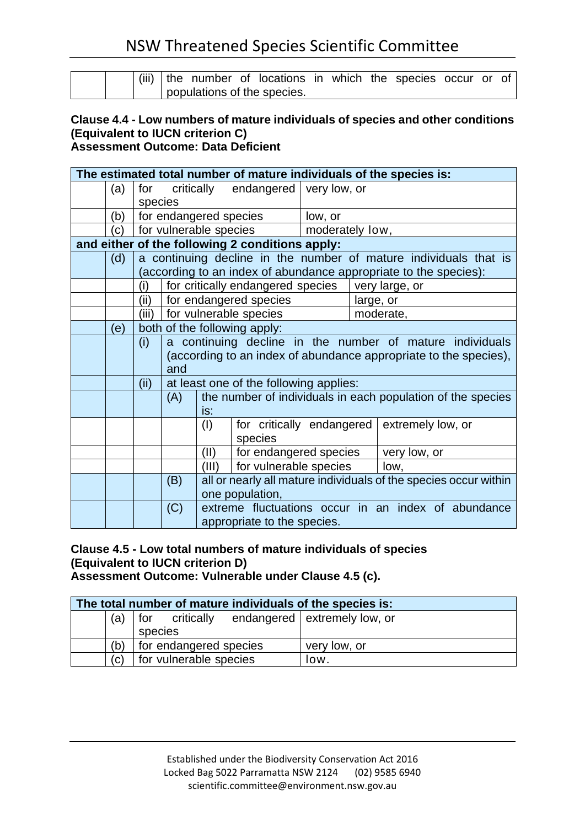|  |                             |  |  | (iii) the number of locations in which the species occur or of |  |  |  |  |  |
|--|-----------------------------|--|--|----------------------------------------------------------------|--|--|--|--|--|
|  | populations of the species. |  |  |                                                                |  |  |  |  |  |

#### **Clause 4.4 - Low numbers of mature individuals of species and other conditions (Equivalent to IUCN criterion C) Assessment Outcome: Data Deficient**

|     |         |                        |                                                                  |                                                             |                 |           | The estimated total number of mature individuals of the species is: |  |  |
|-----|---------|------------------------|------------------------------------------------------------------|-------------------------------------------------------------|-----------------|-----------|---------------------------------------------------------------------|--|--|
| (a) | for     | critically             |                                                                  | endangered   very low, or                                   |                 |           |                                                                     |  |  |
|     | species |                        |                                                                  |                                                             |                 |           |                                                                     |  |  |
| (b) |         |                        |                                                                  | for endangered species                                      | low, or         |           |                                                                     |  |  |
| (c) |         | for vulnerable species |                                                                  |                                                             | moderately low, |           |                                                                     |  |  |
|     |         |                        |                                                                  | and either of the following 2 conditions apply:             |                 |           |                                                                     |  |  |
| (d) |         |                        |                                                                  |                                                             |                 |           | a continuing decline in the number of mature individuals that is    |  |  |
|     |         |                        |                                                                  |                                                             |                 |           | (according to an index of abundance appropriate to the species):    |  |  |
|     | (i)     |                        |                                                                  | for critically endangered species   very large, or          |                 |           |                                                                     |  |  |
|     | (ii)    |                        |                                                                  | for endangered species                                      |                 | large, or |                                                                     |  |  |
|     | (iii)   |                        |                                                                  | for vulnerable species                                      |                 |           | moderate,                                                           |  |  |
| (e) |         |                        | both of the following apply:                                     |                                                             |                 |           |                                                                     |  |  |
|     | (i)     |                        | a continuing decline in the number of mature individuals         |                                                             |                 |           |                                                                     |  |  |
|     |         |                        | (according to an index of abundance appropriate to the species), |                                                             |                 |           |                                                                     |  |  |
|     |         | and                    |                                                                  |                                                             |                 |           |                                                                     |  |  |
|     | (ii)    |                        | at least one of the following applies:                           |                                                             |                 |           |                                                                     |  |  |
|     |         | (A)                    |                                                                  | the number of individuals in each population of the species |                 |           |                                                                     |  |  |
|     |         |                        |                                                                  | is:                                                         |                 |           |                                                                     |  |  |
|     |         |                        | (1)                                                              | for critically endangered                                   |                 |           | extremely low, or                                                   |  |  |
|     |         |                        |                                                                  | species                                                     |                 |           |                                                                     |  |  |
|     |         |                        | (II)                                                             | for endangered species                                      |                 |           | very low, or                                                        |  |  |
|     |         |                        | (III)                                                            | for vulnerable species                                      |                 |           | low,                                                                |  |  |
|     |         | (B)                    | all or nearly all mature individuals of the species occur within |                                                             |                 |           |                                                                     |  |  |
|     |         |                        |                                                                  | one population,                                             |                 |           |                                                                     |  |  |
|     |         | (C)                    |                                                                  |                                                             |                 |           | extreme fluctuations occur in an index of abundance                 |  |  |
|     |         |                        | appropriate to the species.                                      |                                                             |                 |           |                                                                     |  |  |

### **Clause 4.5 - Low total numbers of mature individuals of species (Equivalent to IUCN criterion D) Assessment Outcome: Vulnerable under Clause 4.5 (c).**

| The total number of mature individuals of the species is: |     |                        |  |                                             |  |  |  |  |
|-----------------------------------------------------------|-----|------------------------|--|---------------------------------------------|--|--|--|--|
|                                                           | (a) |                        |  | for critically endangered extremely low, or |  |  |  |  |
|                                                           |     | species                |  |                                             |  |  |  |  |
|                                                           | (b) | for endangered species |  | very low, or                                |  |  |  |  |
|                                                           | (c) | for vulnerable species |  | low.                                        |  |  |  |  |